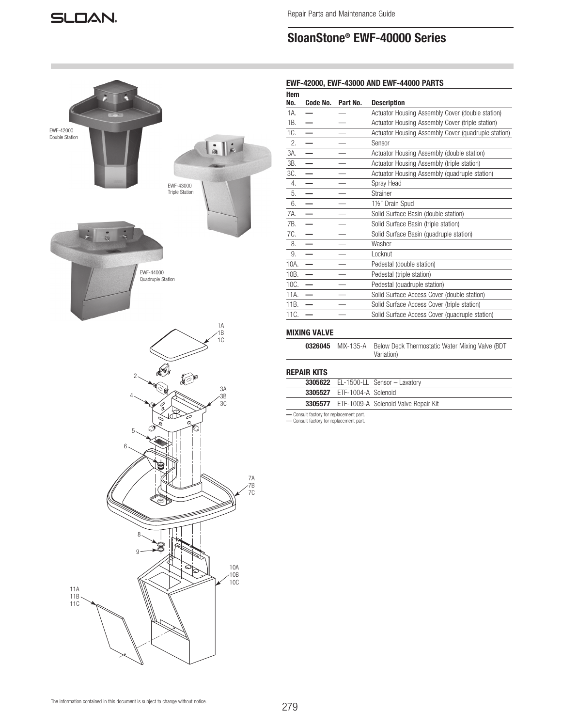# SloanStone® EWF-40000 Series



# EWF-42000, EWF-43000 AND EWF-44000 PARTS

| Item<br>No. | Code No. | Part No. | <b>Description</b>                                  |
|-------------|----------|----------|-----------------------------------------------------|
| 1A.         |          |          | Actuator Housing Assembly Cover (double station)    |
| 1B.         |          |          | Actuator Housing Assembly Cover (triple station)    |
| 1C.         |          |          | Actuator Housing Assembly Cover (quadruple station) |
| 2.          |          |          | Sensor                                              |
| 3A.         |          |          | Actuator Housing Assembly (double station)          |
| 3B.         | —        |          | Actuator Housing Assembly (triple station)          |
| 3C.         |          |          | Actuator Housing Assembly (quadruple station)       |
| 4.          |          |          | Spray Head                                          |
| 5.          |          |          | Strainer                                            |
| 6.          |          |          | 1½" Drain Spud                                      |
| 7A.         |          |          | Solid Surface Basin (double station)                |
| 7B.         |          |          | Solid Surface Basin (triple station)                |
| 7C.         |          |          | Solid Surface Basin (quadruple station)             |
| 8.          |          |          | Washer                                              |
| 9.          |          |          | Locknut                                             |
| 10A.        |          |          | Pedestal (double station)                           |
| 10B.        |          |          | Pedestal (triple station)                           |
| 10C.        |          |          | Pedestal (quadruple station)                        |
| 11A.        |          |          | Solid Surface Access Cover (double station)         |
| 11B.        |          |          | Solid Surface Access Cover (triple station)         |
| 11C.        |          |          | Solid Surface Access Cover (quadruple station)      |
|             |          |          |                                                     |

# MIXING VALVE

|  | <b>0326045</b> MIX-135-A Below Deck Thermostatic Water Mixing Valve (BDT |
|--|--------------------------------------------------------------------------|
|  | Variation)                                                               |

# REPAIR KITS

|                                    | $3305622$ EL-1500-LL Sensor - Lavatory              |
|------------------------------------|-----------------------------------------------------|
| <b>3305527</b> ETF-1004-A Solenoid |                                                     |
|                                    | <b>3305577</b> ETF-1009-A Solenoid Valve Repair Kit |

— Consult factory for replacement part. — Consult factory for replacement part.

The information contained in this document is subject to change without notice.